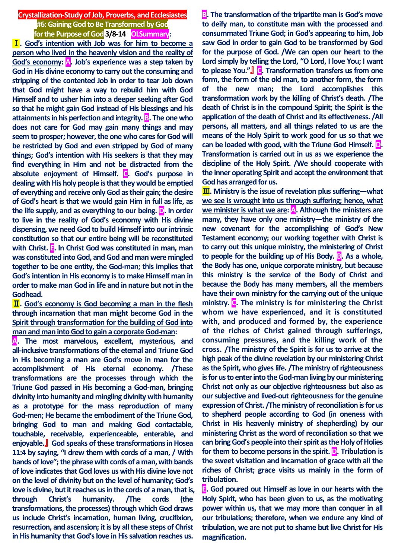**Crystallization-Study of Job, Proverbs, and Ecclesiastes #6:Gaining God to Be Transformed by God for the Purpose of God 3/8-14 OLSummary:**

Ⅰ**. God's intention with Job was for him to become a person who lived in the heavenly vision and the reality of God's economy: A. Job's experience was a step taken by God in His divine economy to carry out the consuming and stripping of the contented Job in order to tear Job down that God might have a way to rebuild him with God Himself and to usher him into a deeper seeking after God so that he might gain God instead of His blessings and his attainments in his perfection and integrity. B. The one who does not care for God may gain many things and may seem to prosper; however, the one who cares for God will be restricted by God and even stripped by God of many things; God's intention with His seekers is that they may find everything in Him and not be distracted from the absolute enjoyment of Himself. C. God's purpose in dealing with His holy people is that they would be emptied of everything and receive only God as their gain; the desire of God's heart is that we would gain Him in full as life, as the life supply, and as everything to our being. D. In order to live in the reality of God's economy with His divine dispensing, we need God to build Himself into our intrinsic constitution so that our entire being will be reconstituted with Christ. E. In Christ God was constituted in man, man was constituted into God, and God and man were mingled together to be one entity, the God-man; this implies that God's intention in His economy is to make Himself man in order to make man God in life and in nature but not in the Godhead.**

Ⅱ**. God's economy is God becoming a man in the flesh through incarnation that man might become God in the Spirit through transformation for the building of God into man and man into God to gain a corporate God-man:**

**A. The most marvelous, excellent, mysterious, and all-inclusive transformations of the eternal and Triune God in His becoming a man are God's move in man for the accomplishment of His eternal economy. /These transformations are the processes through which the Triune God passed in His becoming a God-man, bringing divinity into humanity and mingling divinity with humanity as a prototype for the mass reproduction of many God-men; He became the embodiment of the Triune God, bringing God to man and making God contactable, touchable, receivable, experienceable, enterable, and enjoyable.**』 **God speaks of these transformations in Hosea 11:4 by saying, "I drew them with cords of a man, / With bands of love"; the phrase with cords of a man, with bands of love indicates that God loves us with His divine love not on the level of divinity but on the level of humanity; God's love is divine, but it reaches us in the cords of a man, that is, through Christ's humanity. /The cords (the transformations, the processes) through which God draws us include Christ's incarnation, human living, crucifixion, resurrection, and ascension; it is by all these steps of Christ in His humanity that God's love in His salvation reaches us.**

**B.** The transformation of the tripartite man is God's move **to deify man, to constitute man with the processed and consummated Triune God; in God's appearing to him, Job saw God in order to gain God to be transformed by God for the purpose of God. /We can open our heart to the Lord simply by telling the Lord, "O Lord, I love You; I want to please You."**』 **C. Transformation transfers us from one form, the form of the old man, to another form, the form of the new man; the Lord accomplishes this transformation work by the killing of Christ's death. /The death of Christ is in the compound Spirit; the Spirit is the application of the death of Christ and its effectiveness. /All persons, all matters, and all things related to us are the means of the Holy Spirit to work good for us so that we can be loaded with good, with the Triune God Himself. D. Transformation is carried out in us as we experience the discipline of the Holy Spirit. /We should cooperate with the inner operating Spirit and accept the environment that God has arranged for us.**

Ⅲ**. Ministry is the issue of revelation plus suffering—what we see is wrought into us through suffering; hence, what we minister is what we are: A. Although the ministers are many, they have only one ministry—the ministry of the new covenant for the accomplishing of God's New Testament economy; our working together with Christ is to carry out this unique ministry, the ministering of Christ to people for the building up of His Body. B. As a whole, the Body has one, unique corporate ministry, but because this ministry is the service of the Body of Christ and because the Body has many members, all the members have their own ministry for the carrying out of the unique ministry. C. The ministry is for ministering the Christ whom we have experienced, and it is constituted with, and produced and formed by, the experience of the riches of Christ gained through sufferings, consuming pressures, and the killing work of the cross. /The ministry of the Spirit is for us to arrive at the high peak of the divine revelation by our ministering Christ as the Spirit, who gives life. /The ministry of righteousness is for us to enter into the God-man living by our ministering Christ not only as our objective righteousness but also as our subjective and lived-out righteousness for the genuine expression of Christ. /The ministry of reconciliation is for us to shepherd people according to God (in oneness with Christ in His heavenly ministry of shepherding) by our ministering Christ as the word of reconciliation so that we can bring God's people into their spirit as the Holy of Holies for them to become persons in the spirit. D. Tribulation is the sweet visitation and incarnation of grace with all the riches of Christ; grace visits us mainly in the form of tribulation.**

**E. God poured out Himself as love in our hearts with the Holy Spirit, who has been given to us, as the motivating power within us, that we may more than conquer in all our tribulations; therefore, when we endure any kind of tribulation, we are not put to shame but live Christ for His magnification.**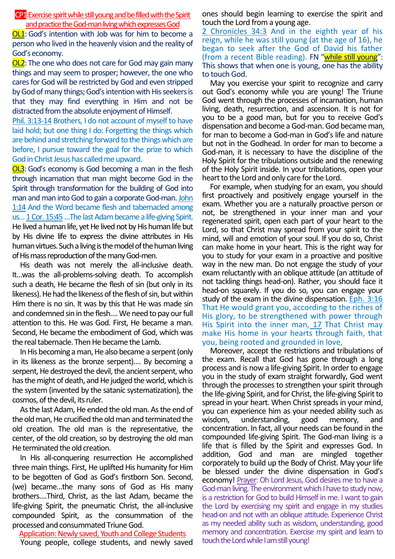CP1:Exercise spirit while still youngand be filled with the Spirit and practice the God-man living which expresses God

OL1: God's intention with Job was for him to become a person who lived in the heavenly vision and the reality of God's economy.

OL2:The one who does not care for God may gain many things and may seem to prosper; however, the one who cares for God will be restricted by God and even stripped by God of many things; God's intention with His seekers is that they may find everything in Him and not be distracted from the absolute enjoyment of Himself.

Phil. 3:13-14 Brothers, I do not account of myself to have laid hold; but one thing I do: Forgetting the things which are behind and stretching forward to the things which are before, I pursue toward the goal for the prize to which God in Christ Jesus has called me upward.

**OL3**: God's economy is God becoming a man in the flesh through incarnation that man might become God in the Spirit through transformation for the building of God into man and man into God to gain a corporate God-man. John 1:14 And the Word became flesh and tabernacled among us…1 Cor. 15:45…The last Adam became a life-giving Spirit. He lived a human life, yet He lived not by His human life but by His divine life to express the divine attributes in His human virtues. Such a living is the model of the human living of His mass reproduction of the many God-men.

His death was not merely the all-inclusive death. It…was the all-problems-solving death. To accomplish such a death, He became the flesh of sin (but only in its likeness). He had the likeness of the flesh of sin, but within Him there is no sin. It was by this that He was made sin and condemned sin in the flesh…. We need to pay our full attention to this. He was God. First, He became a man. Second, He became the embodiment of God, which was the real tabernacle. Then He became the Lamb.

In His becoming a man, He also became a serpent (only in its likeness as the bronze serpent)…. By becoming a serpent, He destroyed the devil, the ancient serpent, who has the might of death, and He judged the world, which is the system (invented by the satanic systematization), the cosmos, of the devil, its ruler.

As the last Adam, He ended the old man. As the end of the old man, He crucified the old man and terminated the old creation. The old man is the representative, the center, of the old creation, so by destroying the old man He terminated the old creation.

In His all-conquering resurrection He accomplished three main things. First, He uplifted His humanity for Him to be begotten of God as God's firstborn Son. Second, (we) became…the many sons of God as His many brothers….Third, Christ, as the last Adam, became the life-giving Spirit, the pneumatic Christ, the all-inclusive compounded Spirit, as the consummation of the processed and consummated Triune God.

Application: Newly saved, Youth and College Students

Young people, college students, and newly saved

ones should begin learning to exercise the spirit and touch the Lord from a young age.

2 Chronicles 34:3 And in the eighth year of his reign, while he was still young (at the age of 16), he began to seek after the God of David his father (from a recent Bible reading). FN "while still young": This shows that when one is young, one has the ability to touch God.

May you exercise your spirit to recognize and carry out God's economy while you are young! The Triune God went through the processes of incarnation, human living, death, resurrection, and ascension. It is not for you to be a good man, but for you to receive God's dispensation and become a God-man. God became man, for man to become a God-man in God's life and nature but not in the Godhead. In order for man to become a God-man, it is necessary to have the discipline of the Holy Spirit for the tribulations outside and the renewing of the Holy Spirit inside. In your tribulations, open your heart to the Lord and only care for the Lord.

For example, when studying for an exam, you should first proactively and positively engage yourself in the exam. Whether you are a naturally proactive person or not, be strengthened in your inner man and your regenerated spirit, open each part of your heart to the Lord, so that Christ may spread from your spirit to the mind, will and emotion of your soul. If you do so, Christ can make home in your heart. This is the right way for you to study for your exam in a proactive and positive way in the new man. Do not engage the study of your exam reluctantly with an oblique attitude (an attitude of not tackling things head-on). Rather, you should face it head-on squarely. If you do so, you can engage your study of the exam in the divine dispensation. Eph. 3:16 That He would grant you, according to the riches of His glory, to be strengthened with power through His Spirit into the inner man, 17 That Christ may make His home in your hearts through faith, that you, being rooted and grounded in love,

Moreover, accept the restrictions and tribulations of the exam. Recall that God has gone through a long process and is now a life-giving Spirit. In order to engage you in the study of exam straight forwardly, God went through the processes to strengthen your spirit through the life-giving Spirit, and for Christ, the life-giving Spirit to spread in your heart. When Christ spreads in your mind, you can experience him as your needed ability such as wisdom, understanding, good memory, and concentration. In fact, all your needs can be found in the compounded life-giving Spirit. The God-man living is a life that is filled by the Spirit and expresses God. In addition, God and man are mingled together corporately to build up the Body of Christ. May your life be blessed under the divine dispensation in God's economy! Prayer: Oh Lord Jesus, God desires me to have a God-man living. The environment which I have to study now, is a restriction for God to build Himself in me. I want to gain the Lord by exercising my spirit and engage in my studies head-on and not with an oblique attitude. Experience Christ as my needed ability such as wisdom, understanding, good memory and concentration. Exercise my spirit and learn to touch the Lord while I am still young!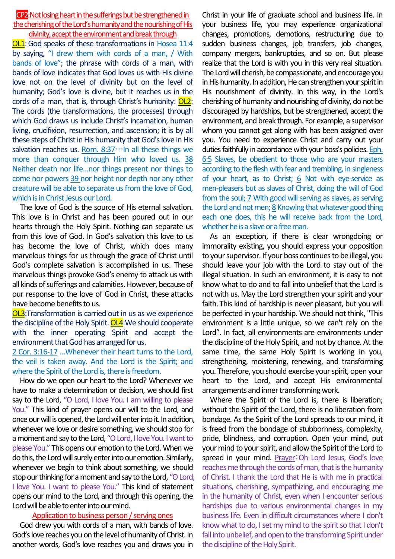CP2:Not losing heart in the sufferings but be strengthened in the cherishing of the Lord's humanity and the nourishing of His divinity, accept the environment and break through

OL1:God speaks of these transformations in Hosea 11:4 by saying, "I drew them with cords of a man, / With bands of love"; the phrase with cords of a man, with bands of love indicates that God loves us with His divine love not on the level of divinity but on the level of humanity; God's love is divine, but it reaches us in the cords of a man, that is, through Christ's humanity: OL2: The cords (the transformations, the processes) through which God draws us include Christ's incarnation, human living, crucifixion, resurrection, and ascension; it is by all these steps of Christ in His humanity that God's love in His salvation reaches us. Rom.  $8:37...$ In all these things we more than conquer through Him who loved us. 38 Neither death nor life…nor things present nor things to come nor powers 39 nor height nor depth nor any other creature will be able to separate us from the love of God, which is in Christ Jesus our Lord.

The love of God is the source of His eternal salvation. This love is in Christ and has been poured out in our hearts through the Holy Spirit. Nothing can separate us from this love of God. In God's salvation this love to us has become the love of Christ, which does many marvelous things for us through the grace of Christ until God's complete salvation is accomplished in us. These marvelous things provoke God's enemy to attack us with all kinds of sufferings and calamities. However, because of our response to the love of God in Christ, these attacks have become benefits to us.

OL3:Transformation is carried out in us as we experience the discipline of the Holy Spirit. OL4:We should cooperate with the inner operating Spirit and accept the environment that God has arranged for us.

2 Cor. 3:16-17 …Whenever their heart turns to the Lord, the veil is taken away. And the Lord is the Spirit; and where the Spirit of the Lord is, there is freedom.

How do we open our heart to the Lord? Whenever we have to make a determination or decision, we should first say to the Lord, "O Lord, I love You. I am willing to please You." This kind of prayer opens our will to the Lord, and once our will is opened, the Lord will enter into it. In addition, whenever we love or desire something, we should stop for a moment and say to the Lord, "O Lord, I love You. I want to please You." This opens our emotion to the Lord. When we do this, the Lord will surely enter into our emotion. Similarly, whenever we begin to think about something, we should stop our thinking for a moment and say to the Lord, "O Lord, I love You. I want to please You." This kind of statement opens our mind to the Lord, and through this opening, the Lord will be able to enter into our mind.

## Application to business person / serving ones

God drew you with cords of a man, with bands of love. God's love reaches you on the level of humanity of Christ. In another words, God's love reaches you and draws you in

Christ in your life of graduate school and business life. In your business life, you may experience organizational changes, promotions, demotions, restructuring due to sudden business changes, job transfers, job changes, company mergers, bankruptcies, and so on. But please realize that the Lord is with you in this very real situation. The Lord will cherish, be compassionate, and encourage you in His humanity. In addition, He can strengthen your spirit in His nourishment of divinity. In this way, in the Lord's cherishing of humanity and nourishing of divinity, do not be discouraged by hardships, but be strengthened, accept the environment, and break through. For example, a supervisor whom you cannot get along with has been assigned over you. You need to experience Christ and carry out your duties faithfully in accordance with your boss's policies. Eph. 6:5 Slaves, be obedient to those who are your masters according to the flesh with fear and trembling, in singleness of your heart, as to Christ; 6 Not with eye-service as men-pleasers but as slaves of Christ, doing the will of God from the soul; 7 With good will serving as slaves, as serving the Lord and not men; 8 Knowing that whatever good thing each one does, this he will receive back from the Lord, whether he is a slave or a free man.

As an exception, if there is clear wrongdoing or immorality existing, you should express your opposition to your supervisor. If your boss continues to be illegal, you should leave your job with the Lord to stay out of the illegal situation. In such an environment, it is easy to not know what to do and to fall into unbelief that the Lord is not with us. May the Lord strengthen your spirit and your faith.This kind of hardship is never pleasant, but you will be perfected in your hardship. We should not think, "This environment is a little unique, so we can't rely on the Lord". In fact, all environments are environments under the discipline of the Holy Spirit, and not by chance. At the same time, the same Holy Spirit is working in you, strengthening, moistening, renewing, and transforming you. Therefore, you should exercise your spirit, open your heart to the Lord, and accept His environmental arrangements and inner transforming work.

Where the Spirit of the Lord is, there is liberation; without the Spirit of the Lord, there is no liberation from bondage. As the Spirit of the Lord spreads to our mind, it is freed from the bondage of stubbornness, complexity, pride, blindness, and corruption. Open your mind, put your mind to your spirit, and allow the Spirit of the Lord to spread in your mind. Prayer:Oh Lord Jesus, God's love reaches me through the cords of man, that is the humanity of Christ. I thank the Lord that He is with me in practical situations, cherishing, sympathizing, and encouraging me in the humanity of Christ, even when I encounter serious hardships due to various environmental changes in my business life. Even in difficult circumstances where I don't know what to do, Iset my mind to the spirit so that I don't fall into unbelief, and open to the transforming Spirit under the discipline of the Holy Spirit.